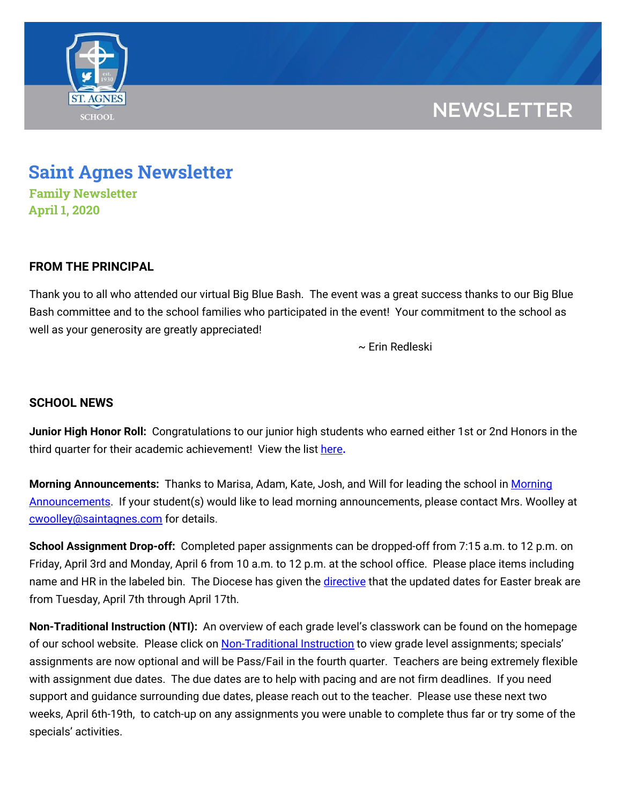

## **NEWSLETTER**

# **Saint Agnes Newsletter**

**Family Newsletter April 1, 2020**

### **FROM THE PRINCIPAL**

Thank you to all who attended our virtual Big Blue Bash. The event was a great success thanks to our Big Blue Bash committee and to the school families who participated in the event! Your commitment to the school as well as your generosity are greatly appreciated!

~ Erin Redleski

### **SCHOOL NEWS**

**Junior High Honor Roll:** Congratulations to our junior high students who earned either 1st or 2nd Honors in the third quarter for their academic achievement! View the list [here](https://school.saintagnes.com/wp-content/uploads/2020/03/Honor-Roll-Quarter-3_-2019-2020.pdf)**.**

**Morning Announcements:** Thanks to Marisa, Adam, Kate, Josh, and Will for leading the school in [Morning](https://www.youtube.com/playlist?list=PLFVaFXwRNac4H7Ba7ZFsTy0BapE18eEdT) [Announcements.](https://www.youtube.com/playlist?list=PLFVaFXwRNac4H7Ba7ZFsTy0BapE18eEdT) If your student(s) would like to lead morning announcements, please contact Mrs. Woolley at [cwoolley@saintagnes.com](mailto:cwoolley@saintagnes.com) for details.

**School Assignment Drop-off:** Completed paper assignments can be dropped-off from 7:15 a.m. to 12 p.m. on Friday, April 3rd and Monday, April 6 from 10 a.m. to 12 p.m. at the school office. Please place items including name and HR in the labeled bin. The Diocese has given the [directive](https://drive.google.com/file/d/10FtQcv9IoEIQZpgWI4tg00ucc_N_G9UP/view?usp=sharing) that the updated dates for Easter break are from Tuesday, April 7th through April 17th.

**Non-Traditional Instruction (NTI):** An overview of each grade level's classwork can be found on the homepage of our school website. Please click on [Non-Traditional](https://school.saintagnes.com/nti-instruction/) Instruction to view grade level assignments; specials' assignments are now optional and will be Pass/Fail in the fourth quarter. Teachers are being extremely flexible with assignment due dates. The due dates are to help with pacing and are not firm deadlines. If you need support and guidance surrounding due dates, please reach out to the teacher. Please use these next two weeks, April 6th-19th, to catch-up on any assignments you were unable to complete thus far or try some of the specials' activities.